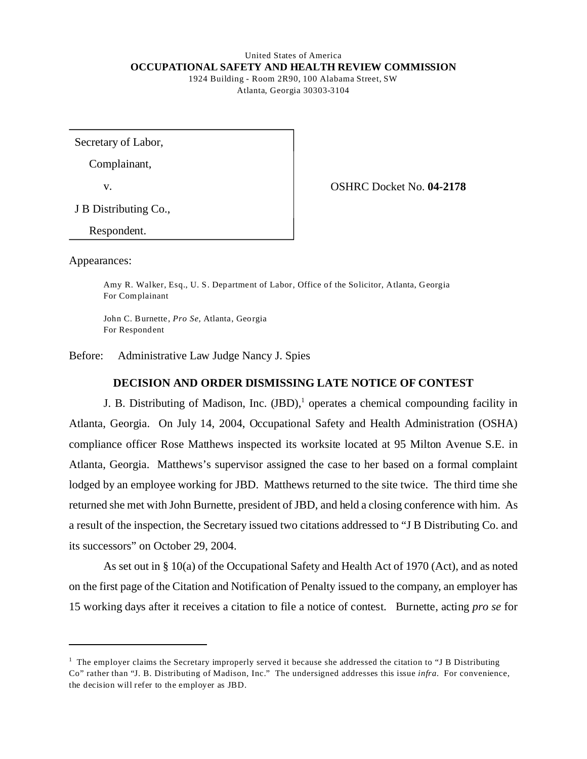#### United States of America **OCCUPATIONAL SAFETY AND HEALTH REVIEW COMMISSION**  1924 Building - Room 2R90, 100 Alabama Street, SW

Atlanta, Georgia 30303-3104

Secretary of Labor,

Complainant,

v. OSHRC Docket No. **04-2178** 

J B Distributing Co.,

Respondent.

Appearances:

Amy R. Walker, Esq., U. S. Department of Labor, Office of the Solicitor, Atlanta, Georgia For Complainant

John C. Burnette, *Pro Se*, Atlanta, Georgia For Respondent

Before: Administrative Law Judge Nancy J. Spies

## **DECISION AND ORDER DISMISSING LATE NOTICE OF CONTEST**

J. B. Distributing of Madison, Inc. (JBD),<sup>1</sup> operates a chemical compounding facility in Atlanta, Georgia. On July 14, 2004, Occupational Safety and Health Administration (OSHA) compliance officer Rose Matthews inspected its worksite located at 95 Milton Avenue S.E. in Atlanta, Georgia. Matthews's supervisor assigned the case to her based on a formal complaint lodged by an employee working for JBD. Matthews returned to the site twice. The third time she returned she met with John Burnette, president of JBD, and held a closing conference with him. As a result of the inspection, the Secretary issued two citations addressed to "J B Distributing Co. and its successors" on October 29, 2004.

As set out in § 10(a) of the Occupational Safety and Health Act of 1970 (Act), and as noted on the first page of the Citation and Notification of Penalty issued to the company, an employer has 15 working days after it receives a citation to file a notice of contest. Burnette, acting *pro se* for

 $<sup>1</sup>$  The employer claims the Secretary improperly served it because she addressed the citation to "J B Distributing</sup> Co" rather than "J. B. Distributing of Madison, Inc." The undersigned addresses this issue *infra.* For convenience, the decision will refer to the employer as JBD.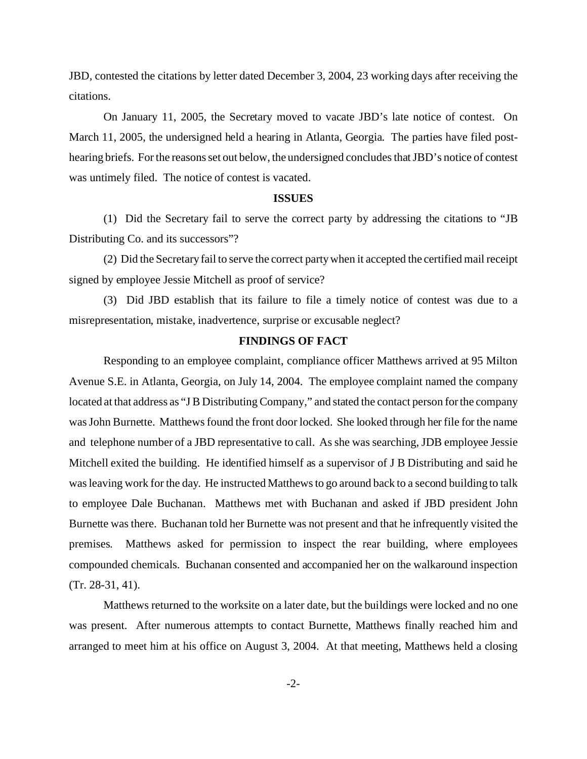JBD*,* contested the citations by letter dated December 3, 2004, 23 working days after receiving the citations.

On January 11, 2005, the Secretary moved to vacate JBD's late notice of contest. On March 11, 2005, the undersigned held a hearing in Atlanta, Georgia. The parties have filed posthearing briefs. For the reasons set out below, the undersigned concludes that JBD's notice of contest was untimely filed. The notice of contest is vacated.

#### **ISSUES**

(1) Did the Secretary fail to serve the correct party by addressing the citations to "JB Distributing Co. and its successors"?

(2) Did the Secretary fail to serve the correct party when it accepted the certified mail receipt signed by employee Jessie Mitchell as proof of service?

(3) Did JBD establish that its failure to file a timely notice of contest was due to a misrepresentation, mistake, inadvertence, surprise or excusable neglect?

#### **FINDINGS OF FACT**

Responding to an employee complaint, compliance officer Matthews arrived at 95 Milton Avenue S.E. in Atlanta, Georgia, on July 14, 2004. The employee complaint named the company located at that address as "J B Distributing Company," and stated the contact person for the company was John Burnette. Matthews found the front door locked. She looked through her file for the name and telephone number of a JBD representative to call. As she was searching, JDB employee Jessie Mitchell exited the building. He identified himself as a supervisor of J B Distributing and said he was leaving work for the day. He instructed Matthews to go around back to a second building to talk to employee Dale Buchanan. Matthews met with Buchanan and asked if JBD president John Burnette was there. Buchanan told her Burnette was not present and that he infrequently visited the premises. Matthews asked for permission to inspect the rear building, where employees compounded chemicals. Buchanan consented and accompanied her on the walkaround inspection (Tr. 28-31, 41).

Matthews returned to the worksite on a later date, but the buildings were locked and no one was present. After numerous attempts to contact Burnette, Matthews finally reached him and arranged to meet him at his office on August 3, 2004. At that meeting, Matthews held a closing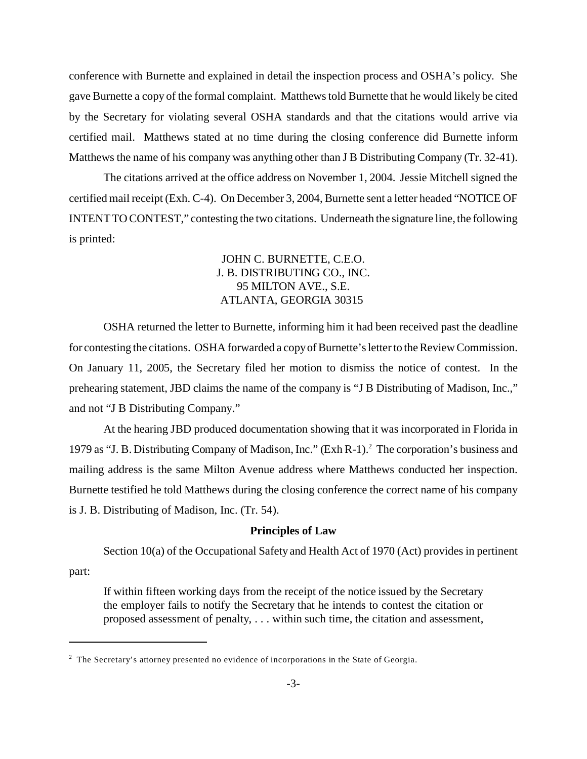conference with Burnette and explained in detail the inspection process and OSHA's policy. She gave Burnette a copy of the formal complaint. Matthews told Burnette that he would likely be cited by the Secretary for violating several OSHA standards and that the citations would arrive via certified mail. Matthews stated at no time during the closing conference did Burnette inform Matthews the name of his company was anything other than J B Distributing Company (Tr. 32-41).

The citations arrived at the office address on November 1, 2004. Jessie Mitchell signed the certified mail receipt (Exh. C-4). On December 3, 2004, Burnette sent a letter headed "NOTICE OF INTENT TO CONTEST," contesting the two citations. Underneath the signature line, the following is printed:

# JOHN C. BURNETTE, C.E.O. J. B. DISTRIBUTING CO., INC. 95 MILTON AVE., S.E. ATLANTA, GEORGIA 30315

OSHA returned the letter to Burnette, informing him it had been received past the deadline for contesting the citations. OSHA forwarded a copy of Burnette's letter to the Review Commission. On January 11, 2005, the Secretary filed her motion to dismiss the notice of contest. In the prehearing statement, JBD claims the name of the company is "J B Distributing of Madison, Inc.," and not "J B Distributing Company."

At the hearing JBD produced documentation showing that it was incorporated in Florida in 1979 as "J. B. Distributing Company of Madison, Inc." (Exh R-1).2 The corporation's business and mailing address is the same Milton Avenue address where Matthews conducted her inspection. Burnette testified he told Matthews during the closing conference the correct name of his company is J. B. Distributing of Madison, Inc. (Tr. 54).

## **Principles of Law**

Section 10(a) of the Occupational Safety and Health Act of 1970 (Act) provides in pertinent

part:

If within fifteen working days from the receipt of the notice issued by the Secretary the employer fails to notify the Secretary that he intends to contest the citation or proposed assessment of penalty, . . . within such time, the citation and assessment,

 $2$  The Secretary's attorney presented no evidence of incorporations in the State of Georgia.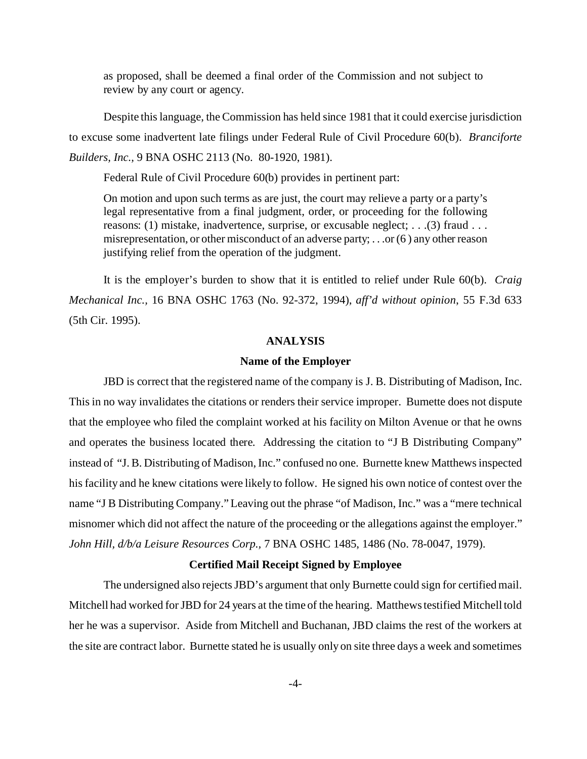as proposed, shall be deemed a final order of the Commission and not subject to review by any court or agency.

Despite this language, the Commission has held since 1981 that it could exercise jurisdiction to excuse some inadvertent late filings under Federal Rule of Civil Procedure 60(b). *Branciforte Builders, Inc.,* 9 BNA OSHC 2113 (No. 80-1920, 1981).

Federal Rule of Civil Procedure 60(b) provides in pertinent part:

On motion and upon such terms as are just, the court may relieve a party or a party's legal representative from a final judgment, order, or proceeding for the following reasons: (1) mistake, inadvertence, surprise, or excusable neglect; . . .(3) fraud . . . misrepresentation, or other misconduct of an adverse party; . . .or (6 ) any other reason justifying relief from the operation of the judgment.

It is the employer's burden to show that it is entitled to relief under Rule 60(b). *Craig Mechanical Inc.,* 16 BNA OSHC 1763 (No. 92-372, 1994), *aff'd without opinion*, 55 F.3d 633 (5th Cir. 1995).

#### **ANALYSIS**

#### **Name of the Employer**

JBD is correct that the registered name of the company is J. B. Distributing of Madison, Inc. This in no way invalidates the citations or renders their service improper. Burnette does not dispute that the employee who filed the complaint worked at his facility on Milton Avenue or that he owns and operates the business located there. Addressing the citation to "J B Distributing Company" instead of "J. B. Distributing of Madison, Inc." confused no one. Burnette knew Matthews inspected his facility and he knew citations were likely to follow. He signed his own notice of contest over the name "J B Distributing Company." Leaving out the phrase "of Madison, Inc." was a "mere technical misnomer which did not affect the nature of the proceeding or the allegations against the employer." *John Hill, d/b/a Leisure Resources Corp.,* 7 BNA OSHC 1485, 1486 (No. 78-0047, 1979).

#### **Certified Mail Receipt Signed by Employee**

The undersigned also rejects JBD's argument that only Burnette could sign for certified mail. Mitchell had worked for JBD for 24 years at the time of the hearing. Matthews testified Mitchell told her he was a supervisor. Aside from Mitchell and Buchanan, JBD claims the rest of the workers at the site are contract labor. Burnette stated he is usually only on site three days a week and sometimes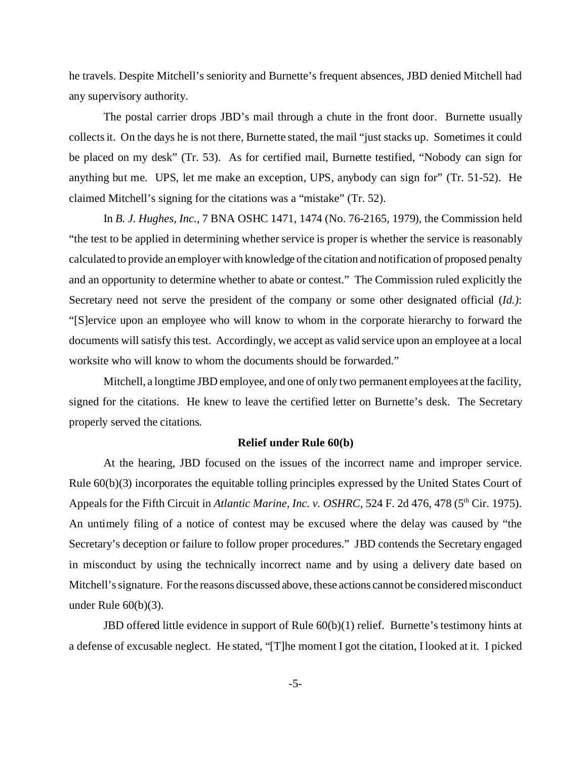he travels. Despite Mitchell's seniority and Burnette's frequent absences, JBD denied Mitchell had any supervisory authority.

The postal carrier drops JBD's mail through a chute in the front door. Burnette usually collects it. On the days he is not there, Burnette stated, the mail "just stacks up. Sometimes it could be placed on my desk" (Tr. 53). As for certified mail, Burnette testified, "Nobody can sign for anything but me. UPS, let me make an exception, UPS, anybody can sign for" (Tr. 51-52). He claimed Mitchell's signing for the citations was a "mistake" (Tr. 52).

In *B. J. Hughes, Inc.,* 7 BNA OSHC 1471, 1474 (No. 76-2165, 1979), the Commission held "the test to be applied in determining whether service is proper is whether the service is reasonably calculated to provide an employer with knowledge of the citation and notification of proposed penalty and an opportunity to determine whether to abate or contest." The Commission ruled explicitly the Secretary need not serve the president of the company or some other designated official (*Id.)*: "[S]ervice upon an employee who will know to whom in the corporate hierarchy to forward the documents will satisfy this test. Accordingly, we accept as valid service upon an employee at a local worksite who will know to whom the documents should be forwarded."

Mitchell, a longtime JBD employee, and one of only two permanent employees at the facility, signed for the citations. He knew to leave the certified letter on Burnette's desk. The Secretary properly served the citations.

## **Relief under Rule 60(b)**

At the hearing, JBD focused on the issues of the incorrect name and improper service. Rule 60(b)(3) incorporates the equitable tolling principles expressed by the United States Court of Appeals for the Fifth Circuit in *Atlantic Marine, Inc. v. OSHRC*, 524 F. 2d 476, 478 (5<sup>th</sup> Cir. 1975). An untimely filing of a notice of contest may be excused where the delay was caused by "the Secretary's deception or failure to follow proper procedures." JBD contends the Secretary engaged in misconduct by using the technically incorrect name and by using a delivery date based on Mitchell's signature. For the reasons discussed above, these actions cannot be considered misconduct under Rule 60(b)(3).

JBD offered little evidence in support of Rule 60(b)(1) relief. Burnette's testimony hints at a defense of excusable neglect. He stated, "[T]he moment I got the citation, I looked at it. I picked